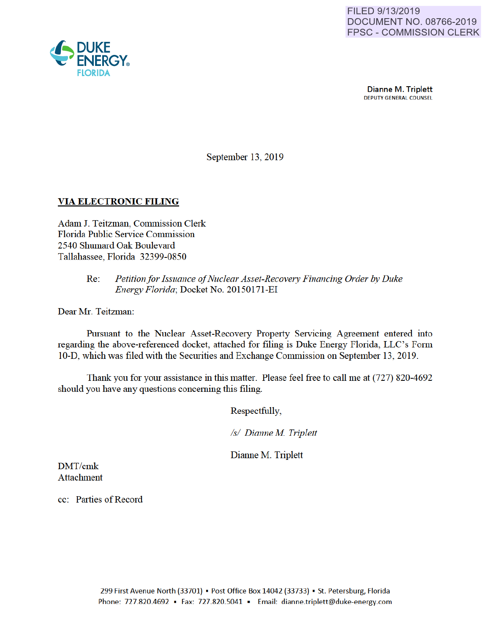**Dianne M. Triplett**<br>DEPUTY GENERAL COUNSEL

September 13, 2019

# VIA ELECTRONIC FILING

Adam J. Teitzman, Commission Clerk Florida Public Service Commission 2540 Shumard Oak Boulevard Tallahassee, Florida 32399-0850

## Re: *Petition for Issuance of Nuclear Asset-Recovery Financing Order by Duke Energy Florida;* Docket No. 20150171-EI

Dear Mr. Teitzman:

Pursuant to the Nuclear Asset-Recovery Property Servicing Agreement entered into regarding the above-referenced docket, attached for filing is Duke Energy Florida, LLC's Fonn 10-D, which was filed with the Securities and Exchange Commission on September 13, 2019.

Thank you for your assistance in this matter. Please feel free to call me at (727) 820-4692 should you have any questions conceming this filing.

Respectfully,

*Is/ Dianne M Triplett* 

Dianne M. Triplett

DMT/cmk Attachment

cc: Parties of Record

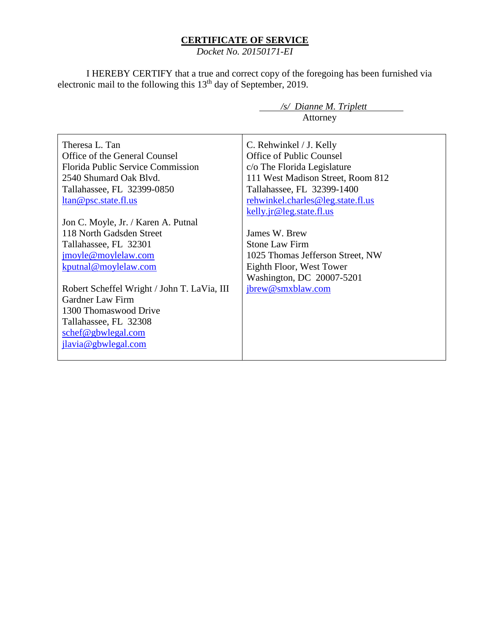## **CERTIFICATE OF SERVICE**

*Docket No. 20150171-EI*

I HEREBY CERTIFY that a true and correct copy of the foregoing has been furnished via electronic mail to the following this 13<sup>th</sup> day of September, 2019.

> */s/ Dianne M. Triplett* Attorney

Theresa L. Tan Office of the General Counsel Florida Public Service Commission 2540 Shumard Oak Blvd. Tallahassee, FL 32399-0850 ltan@psc.state.fl.us Jon C. Moyle, Jr. / Karen A. Putnal 118 North Gadsden Street Tallahassee, FL 32301 jmoyle@moylelaw.com kputnal@moylelaw.com Robert Scheffel Wright / John T. LaVia, III Gardner Law Firm 1300 Thomaswood Drive Tallahassee, FL 32308 schef@gbwlegal.com jlavia@gbwlegal.com C. Rehwinkel / J. Kelly Office of Public Counsel c/o The Florida Legislature 111 West Madison Street, Room 812 Tallahassee, FL 32399-1400 rehwinkel.charles@leg.state.fl.us kelly.jr@leg.state.fl.us James W. Brew Stone Law Firm 1025 Thomas Jefferson Street, NW Eighth Floor, West Tower Washington, DC 20007-5201 jbrew@smxblaw.com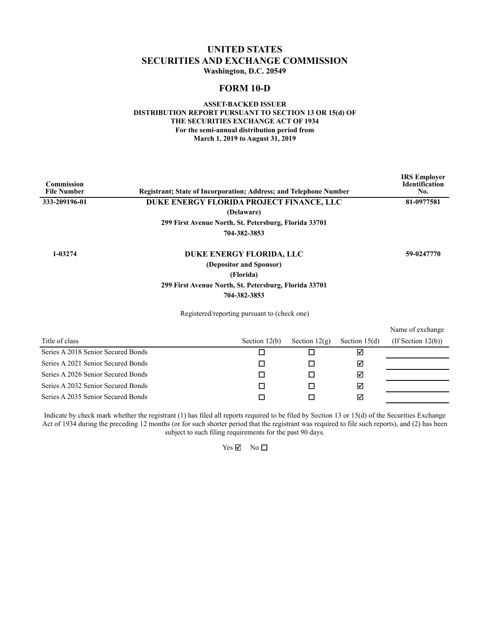## **UNITED STATES SECURITIES AND EXCHANGE COMMISSION Washington, D.C. 20549**

## **FORM 10-D**

#### **ASSET-BACKED ISSUER DISTRIBUTION REPORT PURSUANT TO SECTION 13 OR 15(d) OF THE SECURITIES EXCHANGE ACT OF 1934 For the semi-annual distribution period from March 1, 2019 to August 31, 2019**

| <b>Commission</b><br><b>File Number</b> | <b>Registrant: State of Incorporation: Address: and Telephone Number</b> |                 |                 | <b>IRS</b> Employer<br><b>Identification</b><br>No. |
|-----------------------------------------|--------------------------------------------------------------------------|-----------------|-----------------|-----------------------------------------------------|
| 333-209196-01                           | DUKE ENERGY FLORIDA PROJECT FINANCE, LLC                                 |                 |                 | 81-0977581                                          |
|                                         | (Delaware)                                                               |                 |                 |                                                     |
|                                         | 299 First Avenue North, St. Petersburg, Florida 33701                    |                 |                 |                                                     |
|                                         | 704-382-3853                                                             |                 |                 |                                                     |
| 1-03274                                 | DUKE ENERGY FLORIDA, LLC                                                 |                 |                 | 59-0247770                                          |
|                                         | (Depositor and Sponsor)                                                  |                 |                 |                                                     |
|                                         | (Florida)                                                                |                 |                 |                                                     |
|                                         | 299 First Avenue North, St. Petersburg, Florida 33701                    |                 |                 |                                                     |
|                                         | 704-382-3853                                                             |                 |                 |                                                     |
|                                         | Registered/reporting pursuant to (check one)                             |                 |                 |                                                     |
|                                         |                                                                          |                 |                 | Name of exchange                                    |
| Title of class                          | Section $12(b)$                                                          | Section $12(g)$ | Section $15(d)$ | $($ If Section 12 $(b)$ )                           |
| Series A 2018 Senior Secured Bonds      |                                                                          | П               | ☑               |                                                     |

| Series A 2021 Senior Secured Bonds |  | M |  |
|------------------------------------|--|---|--|
| Series A 2026 Senior Secured Bonds |  | ⊠ |  |
| Series A 2032 Senior Secured Bonds |  | ⊠ |  |
| Series A 2035 Senior Secured Bonds |  | ⊓ |  |

Indicate by check mark whether the registrant (1) has filed all reports required to be filed by Section 13 or 15(d) of the Securities Exchange Act of 1934 during the preceding 12 months (or for such shorter period that the registrant was required to file such reports), and (2) has been subject to such filing requirements for the past 90 days.

 $Yes \nightharpoonup$  No  $\Box$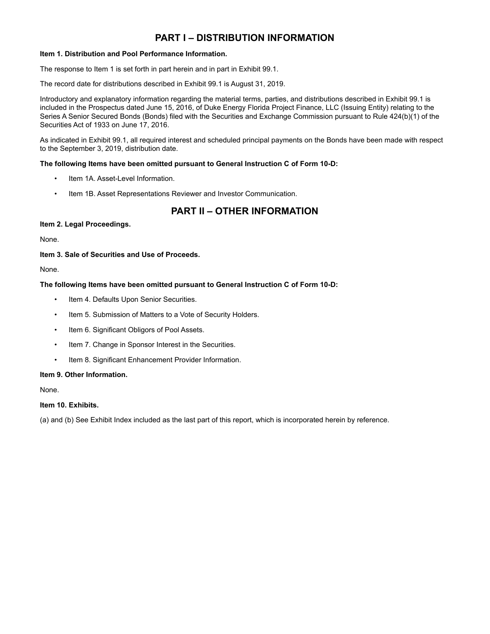# **PART I – DISTRIBUTION INFORMATION**

#### **Item 1. Distribution and Pool Performance Information.**

The response to Item 1 is set forth in part herein and in part in Exhibit 99.1.

The record date for distributions described in Exhibit 99.1 is August 31, 2019.

Introductory and explanatory information regarding the material terms, parties, and distributions described in Exhibit 99.1 is included in the Prospectus dated June 15, 2016, of Duke Energy Florida Project Finance, LLC (Issuing Entity) relating to the Series A Senior Secured Bonds (Bonds) filed with the Securities and Exchange Commission pursuant to Rule 424(b)(1) of the Securities Act of 1933 on June 17, 2016.

As indicated in Exhibit 99.1, all required interest and scheduled principal payments on the Bonds have been made with respect to the September 3, 2019, distribution date.

#### **The following Items have been omitted pursuant to General Instruction C of Form 10-D:**

- Item 1A. Asset-Level Information.
- Item 1B. Asset Representations Reviewer and Investor Communication.

# **PART II – OTHER INFORMATION**

#### **Item 2. Legal Proceedings.**

None.

#### **Item 3. Sale of Securities and Use of Proceeds.**

None.

#### **The following Items have been omitted pursuant to General Instruction C of Form 10-D:**

- Item 4. Defaults Upon Senior Securities.
- Item 5. Submission of Matters to a Vote of Security Holders.
- Item 6. Significant Obligors of Pool Assets.
- Item 7. Change in Sponsor Interest in the Securities.
- Item 8. Significant Enhancement Provider Information.

#### **Item 9. Other Information.**

None.

#### **Item 10. Exhibits.**

(a) and (b) See Exhibit Index included as the last part of this report, which is incorporated herein by reference.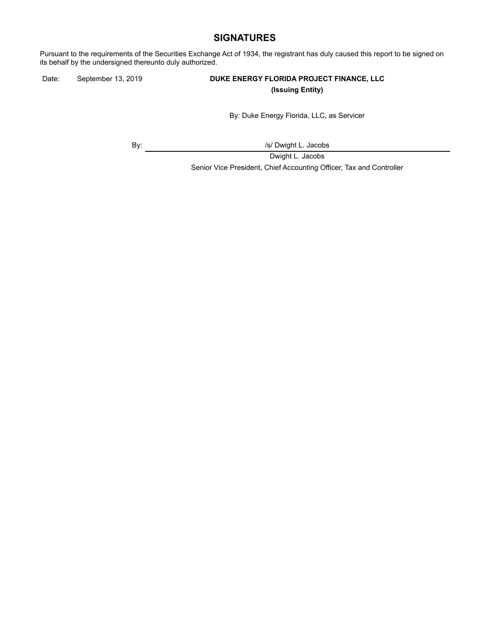## **SIGNATURES**

Pursuant to the requirements of the Securities Exchange Act of 1934, the registrant has duly caused this report to be signed on its behalf by the undersigned thereunto duly authorized.

### Date: September 13, 2019 **DUKE ENERGY FLORIDA PROJECT FINANCE, LLC (Issuing Entity)**

By: Duke Energy Florida, LLC, as Servicer

By:  $\sqrt{s}$  Dwight L. Jacobs

Dwight L. Jacobs Senior Vice President, Chief Accounting Officer, Tax and Controller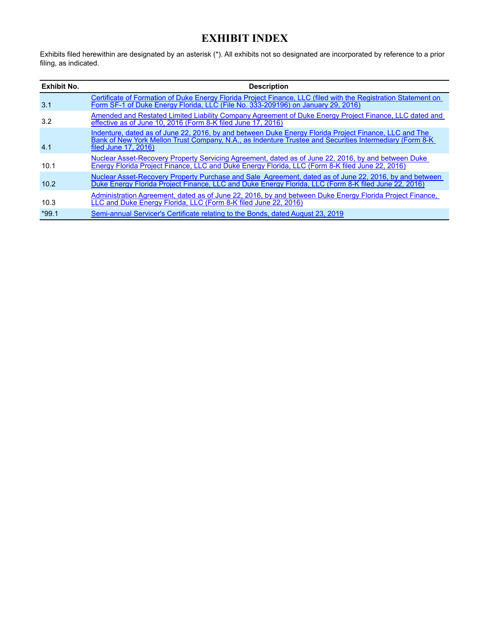# **EXHIBIT INDEX**

Exhibits filed herewithin are designated by an asterisk (\*). All exhibits not so designated are incorporated by reference to a prior filing, as indicated.

| Exhibit No. | <b>Description</b>                                                                                                                                                                                                                       |
|-------------|------------------------------------------------------------------------------------------------------------------------------------------------------------------------------------------------------------------------------------------|
| 3.1         | Certificate of Formation of Duke Energy Florida Project Finance, LLC (filed with the Registration Statement on<br>Form SF-1 of Duke Energy Florida, LLC (File No. 333-209196) on January 29, 2016)                                       |
| 3.2         | Amended and Restated Limited Liability Company Agreement of Duke Energy Project Finance, LLC dated and<br>effective as of June 10, 2016 (Form 8-K filed June 17, 2016)                                                                   |
| 4.1         | Indenture, dated as of June 22, 2016, by and between Duke Energy Florida Project Finance, LLC and The<br>Bank of New York Mellon Trust Company, N.A., as Indenture Trustee and Securities Intermediary (Form 8-K<br>filed June 17, 2016) |
| 10.1        | Nuclear Asset-Recovery Property Servicing Agreement, dated as of June 22, 2016, by and between Duke<br>Energy Florida Project Finance, LLC and Duke Energy Florida, LLC (Form 8-K filed June 22, 2016)                                   |
| 10.2        | Nuclear Asset-Recovery Property Purchase and Sale Agreement, dated as of June 22, 2016, by and between<br>Duke Energy Florida Project Finance, LLC and Duke Energy Florida, LLC (Form 8-K filed June 22, 2016)                           |
| 10.3        | Administration Agreement, dated as of June 22, 2016, by and between Duke Energy Florida Project Finance,<br>LLC and Duke Energy Florida, LLC (Form 8-K filed June 22, 2016)                                                              |
| $*99.1$     | Semi-annual Servicer's Certificate relating to the Bonds, dated August 23, 2019                                                                                                                                                          |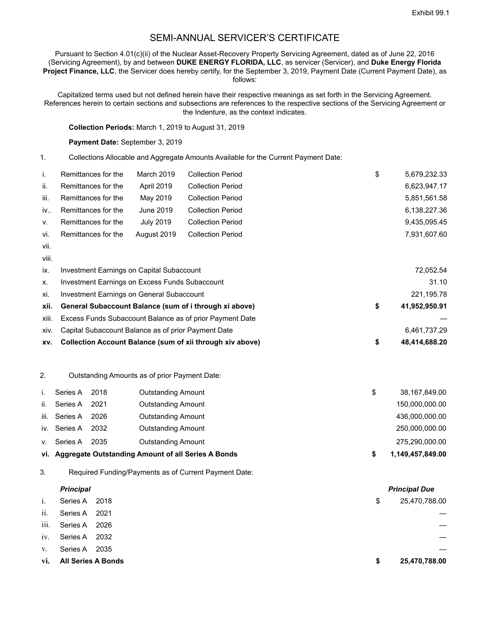## SEMI-ANNUAL SERVICER'S CERTIFICATE

Pursuant to Section 4.01(c)(ii) of the Nuclear Asset-Recovery Property Servicing Agreement, dated as of June 22, 2016 (Servicing Agreement), by and between **DUKE ENERGY FLORIDA, LLC**, as servicer (Servicer), and **Duke Energy Florida Project Finance, LLC**, the Servicer does hereby certify, for the September 3, 2019, Payment Date (Current Payment Date), as follows:

Capitalized terms used but not defined herein have their respective meanings as set forth in the Servicing Agreement. References herein to certain sections and subsections are references to the respective sections of the Servicing Agreement or the Indenture, as the context indicates.

**Collection Periods:** March 1, 2019 to August 31, 2019

#### **Payment Date:** September 3, 2019

1. Collections Allocable and Aggregate Amounts Available for the Current Payment Date:

| i.    | Remittances for the                                              | March 2019       | <b>Collection Period</b>                                 | \$<br>5,679,232.33 |
|-------|------------------------------------------------------------------|------------------|----------------------------------------------------------|--------------------|
| ii.   | Remittances for the                                              | April 2019       | <b>Collection Period</b>                                 | 6,623,947.17       |
| iii.  | Remittances for the                                              | May 2019         | <b>Collection Period</b>                                 | 5,851,561.58       |
| iv    | Remittances for the                                              | June 2019        | <b>Collection Period</b>                                 | 6,138,227.36       |
| ν.    | Remittances for the                                              | <b>July 2019</b> | <b>Collection Period</b>                                 | 9,435,095.45       |
| vi.   | Remittances for the                                              | August 2019      | <b>Collection Period</b>                                 | 7,931,607.60       |
| vii.  |                                                                  |                  |                                                          |                    |
| viii. |                                                                  |                  |                                                          |                    |
| ix.   | Investment Earnings on Capital Subaccount                        |                  |                                                          | 72,052.54          |
| Х.    | Investment Earnings on Excess Funds Subaccount                   |                  |                                                          | 31.10              |
| xi.   | Investment Earnings on General Subaccount                        |                  | 221,195.78                                               |                    |
| xii.  | General Subaccount Balance (sum of i through xi above)           |                  | \$<br>41,952,950.91                                      |                    |
| xiii. |                                                                  |                  | Excess Funds Subaccount Balance as of prior Payment Date |                    |
| XIV.  | Capital Subaccount Balance as of prior Payment Date              |                  |                                                          | 6,461,737.29       |
| XV.   | <b>Collection Account Balance (sum of xii through xiv above)</b> |                  | \$<br>48,414,688.20                                      |                    |

#### 2. Outstanding Amounts as of prior Payment Date:

|      |              |      | vi. Aggregate Outstanding Amount of all Series A Bonds | 1,149,457,849.00 |
|------|--------------|------|--------------------------------------------------------|------------------|
| V.   | Series A     | 2035 | <b>Outstanding Amount</b>                              | 275,290,000.00   |
|      | iv. Series A | 2032 | <b>Outstanding Amount</b>                              | 250,000,000.00   |
| iii. | Series A     | 2026 | <b>Outstanding Amount</b>                              | 436,000,000.00   |
| ii.  | Series A     | 2021 | Outstanding Amount                                     | 150,000,000.00   |
|      | Series A     | 2018 | Outstanding Amount                                     | 38,167,849.00    |

3. Required Funding/Payments as of Current Payment Date:

# *Principal Principal Due* i. Series A 2018 **3 25,470,788.00** ii. Series A 2021 iii. Series A 2026 iv. Series A 2032 v. Series A 2035 **vi. All Series A Bonds \$ 25,470,788.00**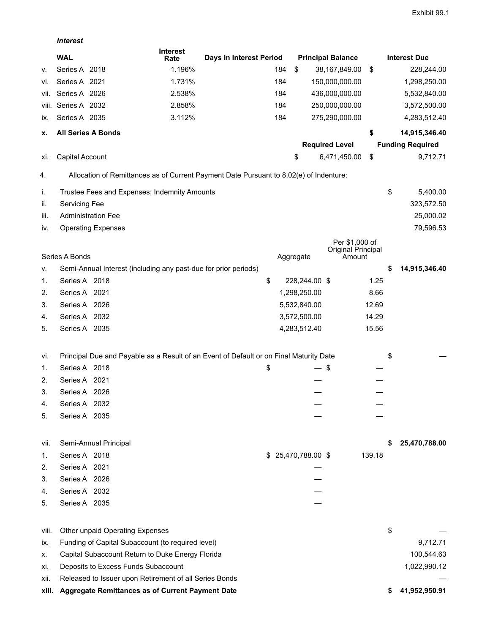*Interest*

|       | <b>WAL</b>                                                                             | <b>Interest</b><br>Rate | Days in Interest Period |     |                     | <b>Principal Balance</b>     |        | <b>Interest Due</b>     |
|-------|----------------------------------------------------------------------------------------|-------------------------|-------------------------|-----|---------------------|------------------------------|--------|-------------------------|
| v.    | Series A 2018                                                                          | 1.196%                  |                         | 184 | \$                  | 38,167,849.00                | \$     | 228,244.00              |
| Vİ.   | Series A 2021                                                                          | 1.731%                  |                         | 184 |                     | 150,000,000.00               |        | 1,298,250.00            |
| VII.  | Series A 2026                                                                          | 2.538%                  |                         | 184 |                     | 436,000,000.00               |        | 5,532,840.00            |
| VIII. | Series A 2032                                                                          | 2.858%                  |                         | 184 |                     | 250,000,000.00               |        | 3,572,500.00            |
| IX.   | Series A 2035                                                                          | 3.112%                  |                         | 184 |                     | 275,290,000.00               |        | 4,283,512.40            |
| х.    | <b>All Series A Bonds</b>                                                              |                         |                         |     |                     |                              | \$     | 14,915,346.40           |
|       |                                                                                        |                         |                         |     |                     | <b>Required Level</b>        |        | <b>Funding Required</b> |
| XI.   | Capital Account                                                                        |                         |                         |     | \$                  | 6,471,450.00                 | \$     | 9,712.71                |
| 4.    | Allocation of Remittances as of Current Payment Date Pursuant to 8.02(e) of Indenture: |                         |                         |     |                     |                              |        |                         |
| i.    | Trustee Fees and Expenses; Indemnity Amounts                                           |                         |                         |     |                     |                              |        | \$<br>5,400.00          |
| ii.   | Servicing Fee                                                                          |                         |                         |     |                     |                              |        | 323,572.50              |
| iii.  | <b>Administration Fee</b>                                                              |                         |                         |     |                     |                              |        | 25,000.02               |
| İV.   | <b>Operating Expenses</b>                                                              |                         |                         |     |                     |                              |        | 79,596.53               |
|       |                                                                                        |                         |                         |     |                     | Per \$1,000 of               |        |                         |
|       | Series A Bonds                                                                         |                         |                         |     | Aggregate           | Original Principal<br>Amount |        |                         |
| v.    | Semi-Annual Interest (including any past-due for prior periods)                        |                         |                         |     |                     |                              |        | \$<br>14,915,346.40     |
| 1.    | Series A 2018                                                                          |                         | \$                      |     | 228,244.00 \$       |                              | 1.25   |                         |
| 2.    | Series A 2021                                                                          |                         |                         |     | 1,298,250.00        |                              | 8.66   |                         |
| 3.    | Series A 2026                                                                          |                         |                         |     | 5,532,840.00        |                              | 12.69  |                         |
| 4.    | Series A 2032                                                                          |                         |                         |     | 3,572,500.00        |                              | 14.29  |                         |
| 5.    | Series A 2035                                                                          |                         |                         |     | 4,283,512.40        |                              | 15.56  |                         |
| Vİ.   | Principal Due and Payable as a Result of an Event of Default or on Final Maturity Date |                         |                         |     |                     |                              |        | \$                      |
| 1.    | Series A 2018                                                                          |                         | \$                      |     |                     | \$                           |        |                         |
| 2.    | Series A 2021                                                                          |                         |                         |     |                     |                              |        |                         |
| 3.    | Series A 2026                                                                          |                         |                         |     |                     |                              |        |                         |
| 4.    | Series A 2032                                                                          |                         |                         |     |                     |                              |        |                         |
| 5.    | Series A 2035                                                                          |                         |                         |     |                     |                              |        |                         |
| VII.  | Semi-Annual Principal                                                                  |                         |                         |     |                     |                              |        | 25,470,788.00           |
| 1.    | Series A 2018                                                                          |                         |                         |     | \$ 25,470,788.00 \$ |                              | 139.18 |                         |
| 2.    | Series A 2021                                                                          |                         |                         |     |                     |                              |        |                         |
| 3.    | Series A 2026                                                                          |                         |                         |     |                     |                              |        |                         |
| 4.    | Series A 2032                                                                          |                         |                         |     |                     |                              |        |                         |
| 5.    | Series A 2035                                                                          |                         |                         |     |                     |                              |        |                         |
|       |                                                                                        |                         |                         |     |                     |                              |        |                         |
| VIII. | Other unpaid Operating Expenses                                                        |                         |                         |     |                     |                              |        | \$                      |
| IX.   | Funding of Capital Subaccount (to required level)                                      |                         |                         |     |                     |                              |        | 9,712.71                |
| х.    | Capital Subaccount Return to Duke Energy Florida                                       |                         |                         |     |                     |                              |        | 100,544.63              |
| Xİ.   | Deposits to Excess Funds Subaccount                                                    |                         |                         |     |                     |                              |        | 1,022,990.12            |
| xii.  | Released to Issuer upon Retirement of all Series Bonds                                 |                         |                         |     |                     |                              |        |                         |
| xiii. | <b>Aggregate Remittances as of Current Payment Date</b>                                |                         |                         |     |                     |                              |        | 41,952,950.91           |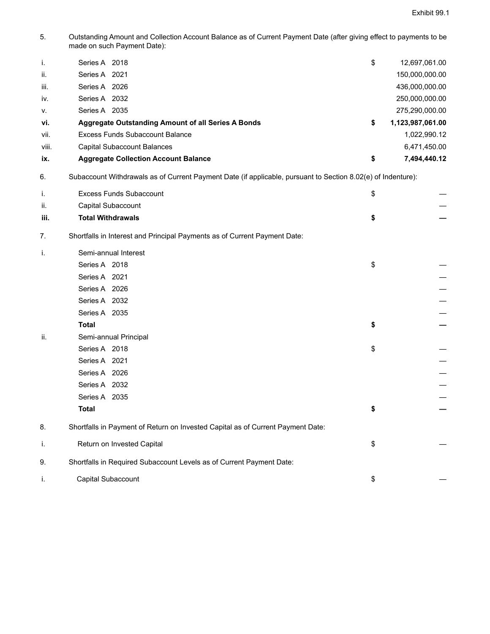5. Outstanding Amount and Collection Account Balance as of Current Payment Date (after giving effect to payments to be made on such Payment Date):

| j.    | Series A 2018                                             | \$<br>12,697,061.00    |
|-------|-----------------------------------------------------------|------------------------|
| ii.   | Series A 2021                                             | 150,000,000.00         |
| iii.  | Series A 2026                                             | 436,000,000.00         |
| iv.   | Series A 2032                                             | 250,000,000.00         |
| V.    | Series A 2035                                             | 275,290,000.00         |
| vi.   | <b>Aggregate Outstanding Amount of all Series A Bonds</b> | \$<br>1,123,987,061.00 |
| vii.  | <b>Excess Funds Subaccount Balance</b>                    | 1,022,990.12           |
| viii. | Capital Subaccount Balances                               | 6,471,450.00           |
| ix.   | <b>Aggregate Collection Account Balance</b>               | 7.494.440.12           |

6. Subaccount Withdrawals as of Current Payment Date (if applicable, pursuant to Section 8.02(e) of Indenture):

| i.   | <b>Excess Funds Subaccount</b>                                                  | \$ |
|------|---------------------------------------------------------------------------------|----|
| ii.  | Capital Subaccount                                                              |    |
| iii. | <b>Total Withdrawals</b>                                                        | \$ |
| 7.   | Shortfalls in Interest and Principal Payments as of Current Payment Date:       |    |
| i.   | Semi-annual Interest                                                            |    |
|      | Series A 2018                                                                   | \$ |
|      | Series A 2021                                                                   |    |
|      | Series A 2026                                                                   |    |
|      | Series A 2032                                                                   |    |
|      | Series A 2035                                                                   |    |
|      | <b>Total</b>                                                                    | \$ |
| ii.  | Semi-annual Principal                                                           |    |
|      | Series A 2018                                                                   | \$ |
|      | Series A 2021                                                                   |    |
|      | Series A 2026                                                                   |    |
|      | Series A 2032                                                                   |    |
|      | Series A 2035                                                                   |    |
|      | <b>Total</b>                                                                    | \$ |
| 8.   | Shortfalls in Payment of Return on Invested Capital as of Current Payment Date: |    |
| i.   | Return on Invested Capital                                                      | \$ |
| 9.   | Shortfalls in Required Subaccount Levels as of Current Payment Date:            |    |
| i.   | Capital Subaccount                                                              | \$ |